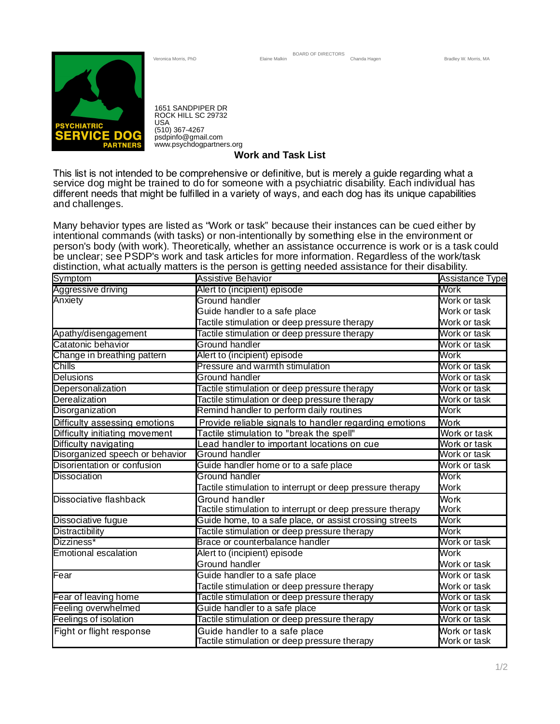

1651 SANDPIPER DR ROCK HILL SC 29732 USA (510) 367-4267 psdpinfo@gmail.com www.psychdogpartners.org

**Work and Task List**

service dog might be trained to do for someone with a psychiatric disability. Each individual has and challenges. This list is not intended to be comprehensive or definitive, but is merely a guide regarding what a different needs that might be fulfilled in a variety of ways, and each dog has its unique capabilities

Many behavior types are listed as "Work or task" because their instances can be cued either by intentional commands (with tasks) or non-intentionally by something else in the environment or person's body (with work). Theoretically, whether an assistance occurrence is work or is a task could be unclear; see PSDP's work and task articles for more information. Regardless of the work/task distinction, what actually matters is the person is getting needed assistance for their disability.

| <b>Symptom</b>                  | ັ<br><b>Assistive Behavior</b>                                                | <b>Assistance Type</b>       |
|---------------------------------|-------------------------------------------------------------------------------|------------------------------|
| Aggressive driving              | Alert to (incipient) episode                                                  | Work                         |
| Anxiety                         | <b>Ground handler</b>                                                         | Work or task                 |
|                                 | Guide handler to a safe place                                                 | Work or task                 |
|                                 | Tactile stimulation or deep pressure therapy                                  | Work or task                 |
| Apathy/disengagement            | Tactile stimulation or deep pressure therapy                                  | Work or task                 |
| Catatonic behavior              | <b>Ground handler</b>                                                         | Work or task                 |
| Change in breathing pattern     | Alert to (incipient) episode                                                  | Work                         |
| <b>Chills</b>                   | Pressure and warmth stimulation                                               | Work or task                 |
| Delusions                       | Ground handler                                                                | Work or task                 |
| Depersonalization               | Tactile stimulation or deep pressure therapy                                  | Work or task                 |
| Derealization                   | Tactile stimulation or deep pressure therapy                                  | Work or task                 |
| Disorganization                 | Remind handler to perform daily routines                                      | Work                         |
| Difficulty assessing emotions   | Provide reliable signals to handler regarding emotions                        | <b>Work</b>                  |
| Difficulty initiating movement  | Tactile stimulation to "break the spell"                                      | Work or task                 |
| Difficulty navigating           | Lead handler to important locations on cue                                    | Work or task                 |
| Disorganized speech or behavior | <b>Ground handler</b>                                                         | Work or task                 |
| Disorientation or confusion     | Guide handler home or to a safe place                                         | Work or task                 |
| Dissociation                    | <b>Ground handler</b>                                                         | Work                         |
|                                 | Tactile stimulation to interrupt or deep pressure therapy                     | Work                         |
| Dissociative flashback          | Ground handler                                                                | <b>Work</b>                  |
|                                 | Tactile stimulation to interrupt or deep pressure therapy                     | Work                         |
| Dissociative fugue              | Guide home, to a safe place, or assist crossing streets                       | Work                         |
| <b>Distractibility</b>          | Tactile stimulation or deep pressure therapy                                  | Work                         |
| Dizziness*                      | Brace or counterbalance handler                                               | Work or task                 |
| <b>Emotional escalation</b>     | Alert to (incipient) episode                                                  | Work                         |
|                                 | Ground handler                                                                | Work or task                 |
| Fear                            | Guide handler to a safe place                                                 | Work or task                 |
|                                 | Tactile stimulation or deep pressure therapy                                  | Work or task                 |
| Fear of leaving home            | Tactile stimulation or deep pressure therapy                                  | Work or task                 |
| Feeling overwhelmed             | Guide handler to a safe place                                                 | Work or task                 |
| Feelings of isolation           | Tactile stimulation or deep pressure therapy                                  | Work or task                 |
| Fight or flight response        | Guide handler to a safe place<br>Tactile stimulation or deep pressure therapy | Work or task<br>Work or task |